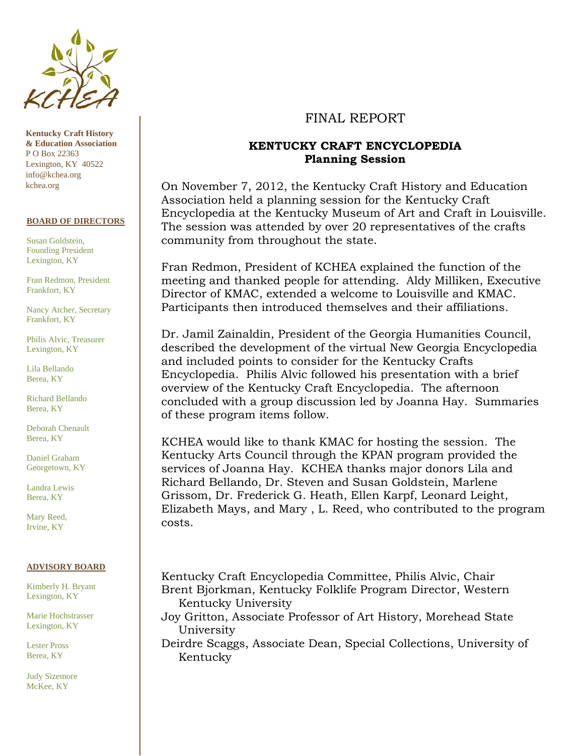

**Kentucky Craft History & Education Association**  P O Box 22363 Lexington, KY 40522 info@kchea.org kchea.org

#### **BOARD OF DIRECTORS**

Susan Goldstein, Founding President Lexington, KY

Fran Redmon, President Frankfort, KY

Nancy Atcher, Secretary Frankfort, KY

Philis Alvic, Treasurer Lexington, KY

Lila Bellando Berea, KY

Richard Bellando Berea, KY

Deborah Chenault Berea, KY

Daniel Graham Georgetown, KY

Landra Lewis Berea, KY

Mary Reed, Irvine, KY

#### **ADVISORY BOARD**

Kimberly H. Bryant Lexington, KY

Marie Hochstrasser Lexington, KY

Lester Pross Berea, KY

Judy Sizemore McKee, KY

# FINAL REPORT

## **KENTUCKY CRAFT ENCYCLOPEDIA Planning Session**

On November 7, 2012, the Kentucky Craft History and Education Association held a planning session for the Kentucky Craft Encyclopedia at the Kentucky Museum of Art and Craft in Louisville. The session was attended by over 20 representatives of the crafts community from throughout the state.

Fran Redmon, President of KCHEA explained the function of the meeting and thanked people for attending. Aldy Milliken, Executive Director of KMAC, extended a welcome to Louisville and KMAC. Participants then introduced themselves and their affiliations.

Dr. Jamil Zainaldin, President of the Georgia Humanities Council, described the development of the virtual New Georgia Encyclopedia and included points to consider for the Kentucky Crafts Encyclopedia. Philis Alvic followed his presentation with a brief overview of the Kentucky Craft Encyclopedia. The afternoon concluded with a group discussion led by Joanna Hay. Summaries of these program items follow.

KCHEA would like to thank KMAC for hosting the session. The Kentucky Arts Council through the KPAN program provided the services of Joanna Hay. KCHEA thanks major donors Lila and Richard Bellando, Dr. Steven and Susan Goldstein, Marlene Grissom, Dr. Frederick G. Heath, Ellen Karpf, Leonard Leight, Elizabeth Mays, and Mary , L. Reed, who contributed to the program costs.

Kentucky Craft Encyclopedia Committee, Philis Alvic, Chair Brent Bjorkman, Kentucky Folklife Program Director, Western Kentucky University

Joy Gritton, Associate Professor of Art History, Morehead State University

Deirdre Scaggs, Associate Dean, Special Collections, University of Kentucky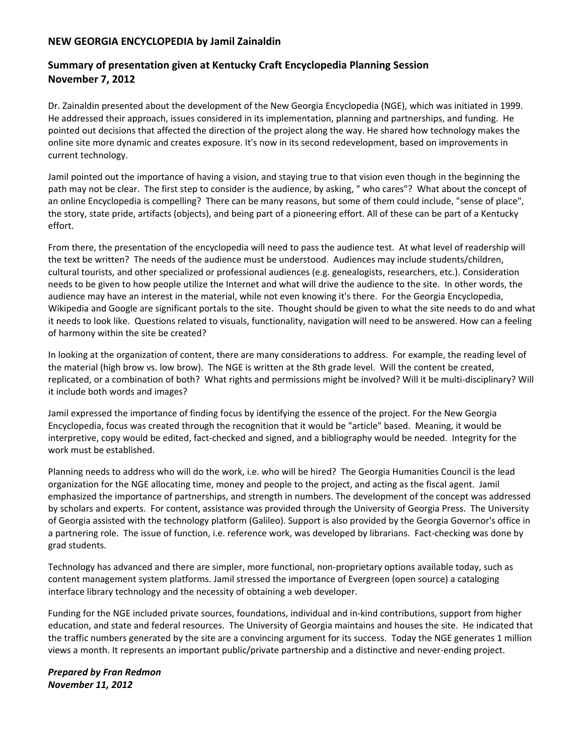## **NEW GEORGIA ENCYCLOPEDIA by Jamil Zainaldin**

# **Summary of presentation given at Kentucky Craft Encyclopedia Planning Session November 7, 2012**

Dr. Zainaldin presented about the development of the New Georgia Encyclopedia (NGE), which was initiated in 1999. He addressed their approach, issues considered in its implementation, planning and partnerships, and funding. He pointed out decisions that affected the direction of the project along the way. He shared how technology makes the online site more dynamic and creates exposure. It's now in its second redevelopment, based on improvements in current technology.

Jamil pointed out the importance of having a vision, and staying true to that vision even though in the beginning the path may not be clear. The first step to consider is the audience, by asking, " who cares"? What about the concept of an online Encyclopedia is compelling? There can be many reasons, but some of them could include, "sense of place", the story, state pride, artifacts (objects), and being part of a pioneering effort. All of these can be part of a Kentucky effort.

From there, the presentation of the encyclopedia will need to pass the audience test. At what level of readership will the text be written? The needs of the audience must be understood. Audiences may include students/children, cultural tourists, and other specialized or professional audiences (e.g. genealogists, researchers, etc.). Consideration needs to be given to how people utilize the Internet and what will drive the audience to the site. In other words, the audience may have an interest in the material, while not even knowing it's there. For the Georgia Encyclopedia, Wikipedia and Google are significant portals to the site. Thought should be given to what the site needs to do and what it needs to look like. Questions related to visuals, functionality, navigation will need to be answered. How can a feeling of harmony within the site be created?

In looking at the organization of content, there are many considerations to address. For example, the reading level of the material (high brow vs. low brow). The NGE is written at the 8th grade level. Will the content be created, replicated, or a combination of both? What rights and permissions might be involved? Will it be multi‐disciplinary? Will it include both words and images?

Jamil expressed the importance of finding focus by identifying the essence of the project. For the New Georgia Encyclopedia, focus was created through the recognition that it would be "article" based. Meaning, it would be interpretive, copy would be edited, fact‐checked and signed, and a bibliography would be needed. Integrity for the work must be established.

Planning needs to address who will do the work, i.e. who will be hired? The Georgia Humanities Council is the lead organization for the NGE allocating time, money and people to the project, and acting as the fiscal agent. Jamil emphasized the importance of partnerships, and strength in numbers. The development of the concept was addressed by scholars and experts. For content, assistance was provided through the University of Georgia Press. The University of Georgia assisted with the technology platform (Galileo). Support is also provided by the Georgia Governor's office in a partnering role. The issue of function, i.e. reference work, was developed by librarians. Fact‐checking was done by grad students.

Technology has advanced and there are simpler, more functional, non‐proprietary options available today, such as content management system platforms. Jamil stressed the importance of Evergreen (open source) a cataloging interface library technology and the necessity of obtaining a web developer.

Funding for the NGE included private sources, foundations, individual and in‐kind contributions, support from higher education, and state and federal resources. The University of Georgia maintains and houses the site. He indicated that the traffic numbers generated by the site are a convincing argument for its success. Today the NGE generates 1 million views a month. It represents an important public/private partnership and a distinctive and never‐ending project.

### *Prepared by Fran Redmon November 11, 2012*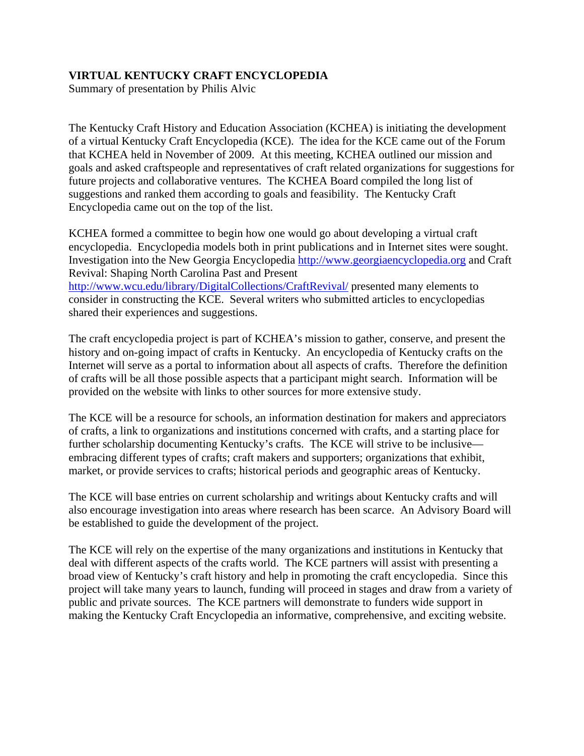# **VIRTUAL KENTUCKY CRAFT ENCYCLOPEDIA**

Summary of presentation by Philis Alvic

The Kentucky Craft History and Education Association (KCHEA) is initiating the development of a virtual Kentucky Craft Encyclopedia (KCE). The idea for the KCE came out of the Forum that KCHEA held in November of 2009. At this meeting, KCHEA outlined our mission and goals and asked craftspeople and representatives of craft related organizations for suggestions for future projects and collaborative ventures. The KCHEA Board compiled the long list of suggestions and ranked them according to goals and feasibility. The Kentucky Craft Encyclopedia came out on the top of the list.

KCHEA formed a committee to begin how one would go about developing a virtual craft encyclopedia. Encyclopedia models both in print publications and in Internet sites were sought. Investigation into the New Georgia Encyclopedia [http://www.georgiaencyclopedia.org](http://www.georgiaencyclopedia.org/) and Craft Revival: Shaping North Carolina Past and Present <http://www.wcu.edu/library/DigitalCollections/CraftRevival/> presented many elements to consider in constructing the KCE. Several writers who submitted articles to encyclopedias shared their experiences and suggestions.

The craft encyclopedia project is part of KCHEA's mission to gather, conserve, and present the history and on-going impact of crafts in Kentucky. An encyclopedia of Kentucky crafts on the Internet will serve as a portal to information about all aspects of crafts. Therefore the definition of crafts will be all those possible aspects that a participant might search. Information will be provided on the website with links to other sources for more extensive study.

The KCE will be a resource for schools, an information destination for makers and appreciators of crafts, a link to organizations and institutions concerned with crafts, and a starting place for further scholarship documenting Kentucky's crafts. The KCE will strive to be inclusive embracing different types of crafts; craft makers and supporters; organizations that exhibit, market, or provide services to crafts; historical periods and geographic areas of Kentucky.

The KCE will base entries on current scholarship and writings about Kentucky crafts and will also encourage investigation into areas where research has been scarce. An Advisory Board will be established to guide the development of the project.

The KCE will rely on the expertise of the many organizations and institutions in Kentucky that deal with different aspects of the crafts world. The KCE partners will assist with presenting a broad view of Kentucky's craft history and help in promoting the craft encyclopedia. Since this project will take many years to launch, funding will proceed in stages and draw from a variety of public and private sources. The KCE partners will demonstrate to funders wide support in making the Kentucky Craft Encyclopedia an informative, comprehensive, and exciting website.